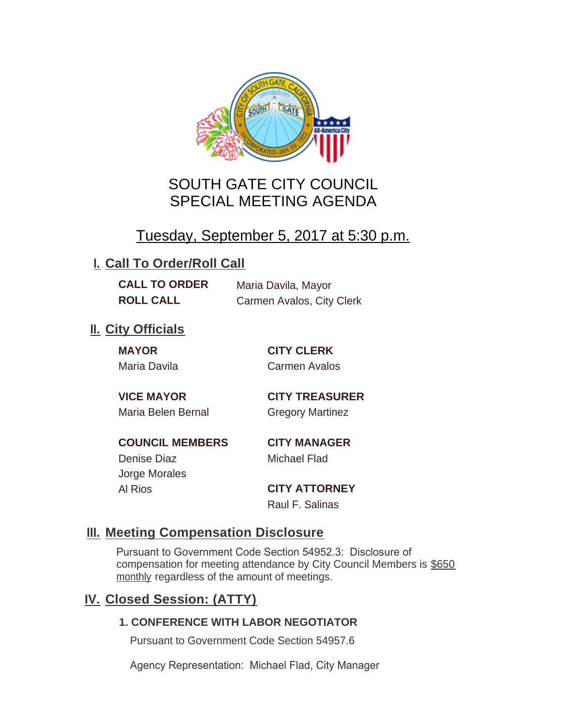

# SOUTH GATE CITY COUNCIL SPECIAL MEETING AGENDA

# Tuesday, September 5, 2017 at 5:30 p.m.

## **I. Call To Order/Roll Call**

**CALL TO ORDER** Maria Davila, Mayor **ROLL CALL** Carmen Avalos, City Clerk

## **II.** City Officials

**MAYOR CITY CLERK**

Maria Davila Carmen Avalos

Maria Belen Bernal **Gregory Martinez** 

**VICE MAYOR CITY TREASURER**

**COUNCIL MEMBERS CITY MANAGER** Denise Diaz Michael Flad

Jorge Morales

Al Rios **CITY ATTORNEY** Raul F. Salinas

### **Meeting Compensation Disclosure III.**

Pursuant to Government Code Section 54952.3: Disclosure of compensation for meeting attendance by City Council Members is \$650 monthly regardless of the amount of meetings.

## **Closed Session: (ATTY) IV.**

### **1. CONFERENCE WITH LABOR NEGOTIATOR**

Pursuant to Government Code Section 54957.6

Agency Representation: Michael Flad, City Manager